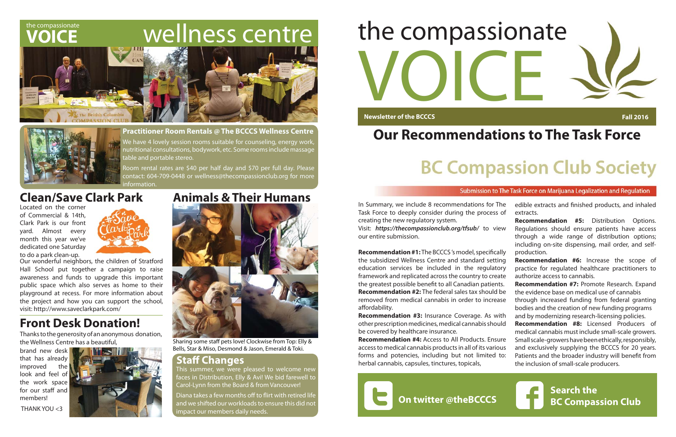## **VOICE**

## the compassionate wellness centre





## **Clean/Save Clark Park Animals & Their Humans**



Sharing some staff pets love! Clockwise from Top: Elly & Bells, Star & Miso, Desmond & Jason, Emerald & Toki.

### **Staff Changes**

Diana takes a few months off to flirt with retired life and we shifted our workloads to ensure this did not impact our members daily needs.

This summer, we were pleased to welcome new faces in Distribution, Elly & Avi! We bid farewell to Carol-Lynn from the Board & from Vancouver!

#### **Practitioner Room Rentals @ The BCCCS Wellness Centre**

We have 4 lovely session rooms suitable for counseling, energy work, nutritional consultations, bodywork, etc. Some rooms include massage table and portable stereo.

Room rental rates are \$40 per half day and \$70 per full day. Please contact: 604-709-0448 or wellness@thecompassionclub.org for more information.

## **Front Desk Donation!**

In Summary, we include 8 recommendations for Task Force to deeply consider during the process creating the new regulatory system.

Visit: https://thecompassionclub.org/tfsub/ to v our entire submission.

**Recommendation #1: The BCCCS's model, specifically** the subsidized Wellness Centre and standard sett education services be included in the regulate framework and replicated across the country to create the greatest possible benefit to all Canadian patient **Recommendation #2:** The federal sales tax should removed from medical cannabis in order to increase affordability.

Our wonderful neighbors, the children of Stratford Hall School put together a campaign to raise awareness and funds to upgrade this important public space which also serves as home to their playground at recess. For more information about the project and how you can support the school, visit: http://www.saveclarkpark.com/

**Recommendation #3: Insurance Coverage. As w** other prescription medicines, medical cannabis should be covered by healthcare insurance.

brand new desk that has already improved the look and feel of the work space for our staff and members!

THANK YOU <3



**Recommendation #4: Access to All Products. Ensure** access to medical cannabis products in all of its various forms and potencies, including but not limited herbal cannabis, capsules, tinctures, topicals,

Thanks to the generosity of an anonymous donation, the Wellness Centre has a beautiful,

Located on the corner of Commercial & 14th, Clark Park is our front yard. Almost every month this year we've dedicated one Saturday to do a park clean-up.



# VOICE the compassionate

**Newsletter of the BCCCS** 





**Fall 2016** 

#### Submission to The Task Force on Marijuana Legalization and Regulation

**Search the BC Compassion Club**

## **Our Recommendations to The Task Force**

## **BC Compassion Club Society**

| The  | edible extracts and finished products, and inhaled    |
|------|-------------------------------------------------------|
| s of | extracts.                                             |
|      | <b>Recommendation #5:</b> Distribution Options.       |
| iew  | Regulations should ensure patients have access        |
|      | through a wide range of distribution options;         |
|      | including on-site dispensing, mail order, and self-   |
| ally | production.                                           |
| ing: | <b>Recommendation #6:</b> Increase the scope of       |
| ory: | practice for regulated healthcare practitioners to    |
| ate  | authorize access to cannabis.                         |
| ነts. | Recommendation #7: Promote Research. Expand           |
| l be | the evidence base on medical use of cannabis          |
| ase  | through increased funding from federal granting       |
|      | bodies and the creation of new funding programs       |
| vith | and by modernizing research-licensing policies.       |
| uld  | <b>Recommendation #8:</b> Licensed Producers of       |
|      | medical cannabis must include small-scale growers.    |
| ure  | Small scale-growers have been ethically, responsibly, |
| ous  | and exclusively supplying the BCCCS for 20 years.     |
| to:  | Patients and the broader industry will benefit from   |
|      | the inclusion of small-scale producers.               |